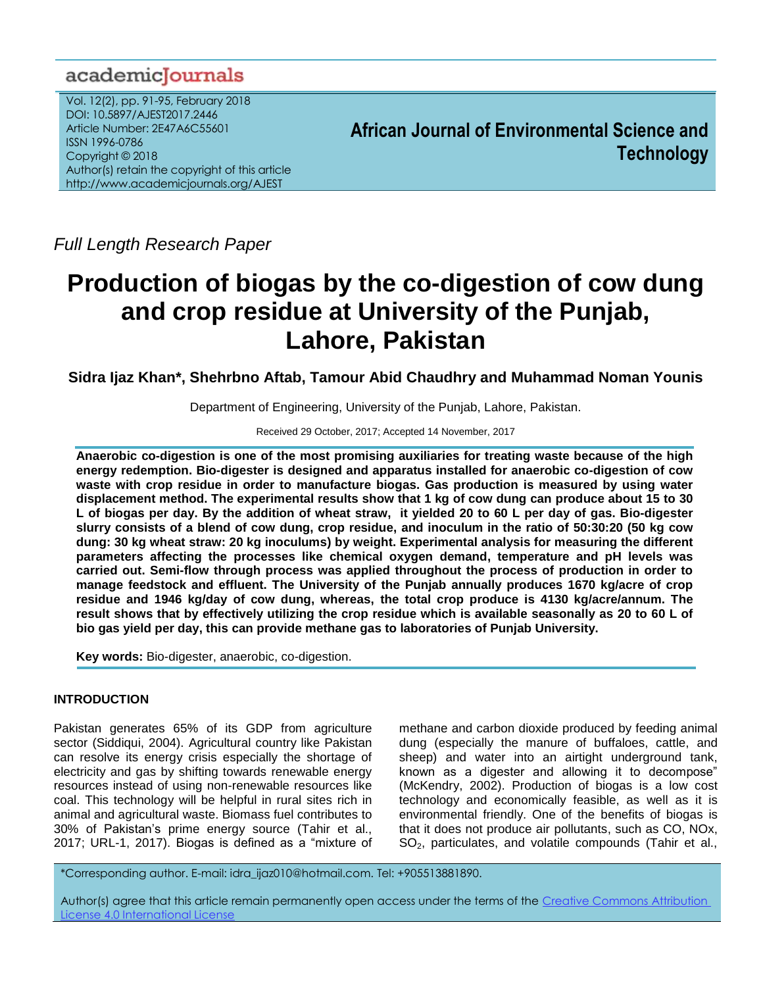# academiclournals

Vol. 12(2), pp. 91-95, February 2018 DOI: 10.5897/AJEST2017.2446 Article Number: 2E47A6C55601 ISSN 1996-0786 Copyright © 2018 Author(s) retain the copyright of this article http://www.academicjournals.org/AJEST

**African Journal of Environmental Science and Technology**

*Full Length Research Paper*

# **Production of biogas by the co-digestion of cow dung and crop residue at University of the Punjab, Lahore, Pakistan**

**Sidra Ijaz Khan\*, Shehrbno Aftab, Tamour Abid Chaudhry and Muhammad Noman Younis**

Department of Engineering, University of the Punjab, Lahore, Pakistan.

Received 29 October, 2017; Accepted 14 November, 2017

**Anaerobic co-digestion is one of the most promising auxiliaries for treating waste because of the high energy redemption. Bio-digester is designed and apparatus installed for anaerobic co-digestion of cow waste with crop residue in order to manufacture biogas. Gas production is measured by using water displacement method. The experimental results show that 1 kg of cow dung can produce about 15 to 30 L of biogas per day. By the addition of wheat straw, it yielded 20 to 60 L per day of gas. Bio-digester slurry consists of a blend of cow dung, crop residue, and inoculum in the ratio of 50:30:20 (50 kg cow dung: 30 kg wheat straw: 20 kg inoculums) by weight. Experimental analysis for measuring the different parameters affecting the processes like chemical oxygen demand, temperature and pH levels was carried out. Semi-flow through process was applied throughout the process of production in order to manage feedstock and effluent. The University of the Punjab annually produces 1670 kg/acre of crop residue and 1946 kg/day of cow dung, whereas, the total crop produce is 4130 kg/acre/annum. The result shows that by effectively utilizing the crop residue which is available seasonally as 20 to 60 L of bio gas yield per day, this can provide methane gas to laboratories of Punjab University.**

**Key words:** Bio-digester, anaerobic, co-digestion.

# **INTRODUCTION**

Pakistan generates 65% of its GDP from agriculture sector (Siddiqui, 2004). Agricultural country like Pakistan can resolve its energy crisis especially the shortage of electricity and gas by shifting towards renewable energy resources instead of using non-renewable resources like coal. This technology will be helpful in rural sites rich in animal and agricultural waste. Biomass fuel contributes to 30% of Pakistan's prime energy source (Tahir et al., 2017; URL-1, 2017). Biogas is defined as a "mixture of

methane and carbon dioxide produced by feeding animal dung (especially the manure of buffaloes, cattle, and sheep) and water into an airtight underground tank, known as a digester and allowing it to decompose" (McKendry, 2002). Production of biogas is a low cost technology and economically feasible, as well as it is environmental friendly. One of the benefits of biogas is that it does not produce air pollutants, such as CO, NOx,  $SO<sub>2</sub>$ , particulates, and volatile compounds (Tahir et al.,

\*Corresponding author. E-mail: idra\_ijaz010@hotmail.com. Tel: +905513881890.

Author(s) agree that this article remain permanently open access under the terms of the [Creative Commons Attribution](http://creativecommons.org/licenses/by/4.0/deed.en_US)  [License 4.0 International License](http://creativecommons.org/licenses/by/4.0/deed.en_US)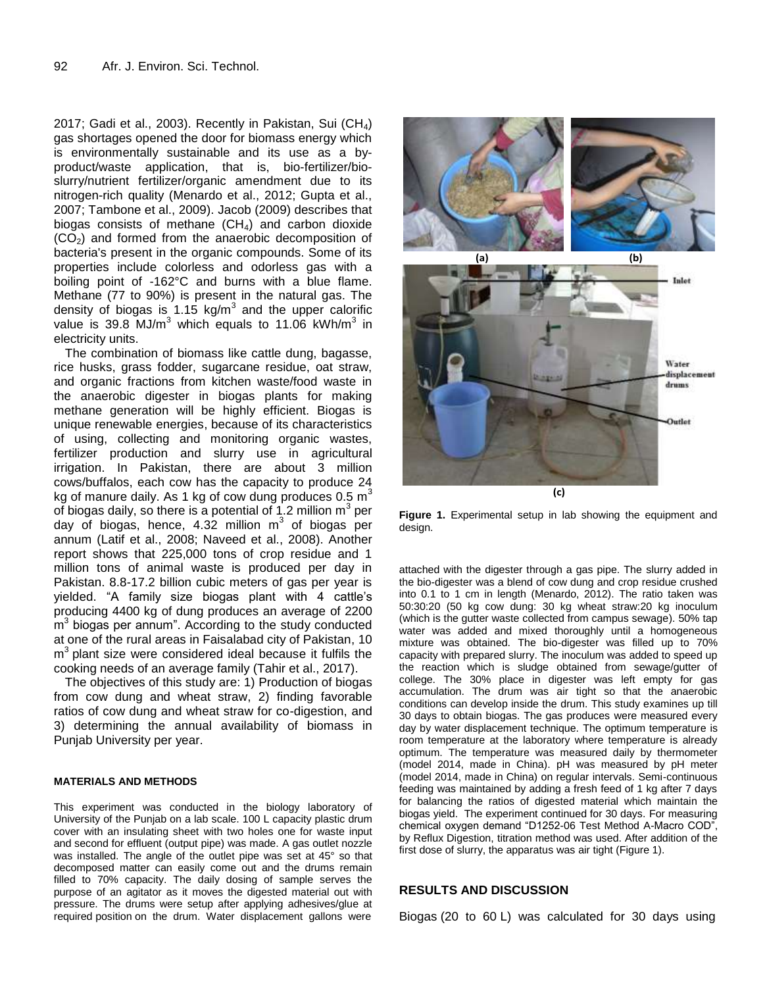2017; Gadi et al., 2003). Recently in Pakistan, Sui (CH<sub>4</sub>) gas shortages opened the door for biomass energy which is environmentally sustainable and its use as a byproduct/waste application, that is, bio-fertilizer/bioslurry/nutrient fertilizer/organic amendment due to its nitrogen-rich quality (Menardo et al., 2012; Gupta et al., 2007; Tambone et al., 2009). Jacob (2009) describes that biogas consists of methane  $(CH<sub>4</sub>)$  and carbon dioxide  $(CO<sub>2</sub>)$  and formed from the anaerobic decomposition of bacteria's present in the organic compounds. Some of its properties include colorless and odorless gas with a boiling point of -162°C and burns with a blue flame. Methane (77 to 90%) is present in the natural gas. The density of biogas is 1.15 kg/m<sup>3</sup> and the upper calorific value is 39.8  $MJ/m<sup>3</sup>$  which equals to 11.06 kWh/m<sup>3</sup> in electricity units.

The combination of biomass like cattle dung, bagasse, rice husks, grass fodder, sugarcane residue, oat straw, and organic fractions from kitchen waste/food waste in the anaerobic digester in biogas plants for making methane generation will be highly efficient. Biogas is unique renewable energies, because of its characteristics of using, collecting and monitoring organic wastes, fertilizer production and slurry use in agricultural irrigation. In Pakistan, there are about 3 million cows/buffalos, each cow has the capacity to produce 24 kg of manure daily. As 1 kg of cow dung produces  $0.5 \text{ m}^3$ of biogas daily, so there is a potential of 1.2 million  $m^3$  per day of biogas, hence, 4.32 million  $m^3$  of biogas per annum (Latif et al., 2008; Naveed et al., 2008). Another report shows that 225,000 tons of crop residue and 1 million tons of animal waste is produced per day in Pakistan. 8.8-17.2 billion cubic meters of gas per year is yielded. "A family size biogas plant with 4 cattle's producing 4400 kg of dung produces an average of 2200 m<sup>3</sup> biogas per annum". According to the study conducted at one of the rural areas in Faisalabad city of Pakistan, 10  $m<sup>3</sup>$  plant size were considered ideal because it fulfils the cooking needs of an average family (Tahir et al., 2017).

The objectives of this study are: 1) Production of biogas from cow dung and wheat straw, 2) finding favorable ratios of cow dung and wheat straw for co-digestion, and 3) determining the annual availability of biomass in Punjab University per year.

#### **MATERIALS AND METHODS**

This experiment was conducted in the biology laboratory of University of the Punjab on a lab scale. 100 L capacity plastic drum cover with an insulating sheet with two holes one for waste input and second for effluent (output pipe) was made. A gas outlet nozzle was installed. The angle of the outlet pipe was set at 45° so that decomposed matter can easily come out and the drums remain filled to 70% capacity. The daily dosing of sample serves the purpose of an agitator as it moves the digested material out with pressure. The drums were setup after applying adhesives/glue at required position on the drum. Water displacement gallons were



Figure 1. Experimental setup in lab showing the equipment and design.

attached with the digester through a gas pipe. The slurry added in the bio-digester was a blend of cow dung and crop residue crushed into 0.1 to 1 cm in length (Menardo, 2012). The ratio taken was 50:30:20 (50 kg cow dung: 30 kg wheat straw:20 kg inoculum (which is the gutter waste collected from campus sewage). 50% tap water was added and mixed thoroughly until a homogeneous mixture was obtained. The bio-digester was filled up to 70% capacity with prepared slurry. The inoculum was added to speed up the reaction which is sludge obtained from sewage/gutter of college. The 30% place in digester was left empty for gas accumulation. The drum was air tight so that the anaerobic conditions can develop inside the drum. This study examines up till 30 days to obtain biogas. The gas produces were measured every day by water displacement technique. The optimum temperature is room temperature at the laboratory where temperature is already optimum. The temperature was measured daily by thermometer (model 2014, made in China). pH was measured by pH meter (model 2014, made in China) on regular intervals. Semi-continuous feeding was maintained by adding a fresh feed of 1 kg after 7 days for balancing the ratios of digested material which maintain the biogas yield. The experiment continued for 30 days. For measuring chemical oxygen demand "D1252-06 Test Method A-Macro COD", by Reflux Digestion, titration method was used. After addition of the first dose of slurry, the apparatus was air tight (Figure 1).

### **RESULTS AND DISCUSSION**

Biogas (20 to 60 L) was calculated for 30 days using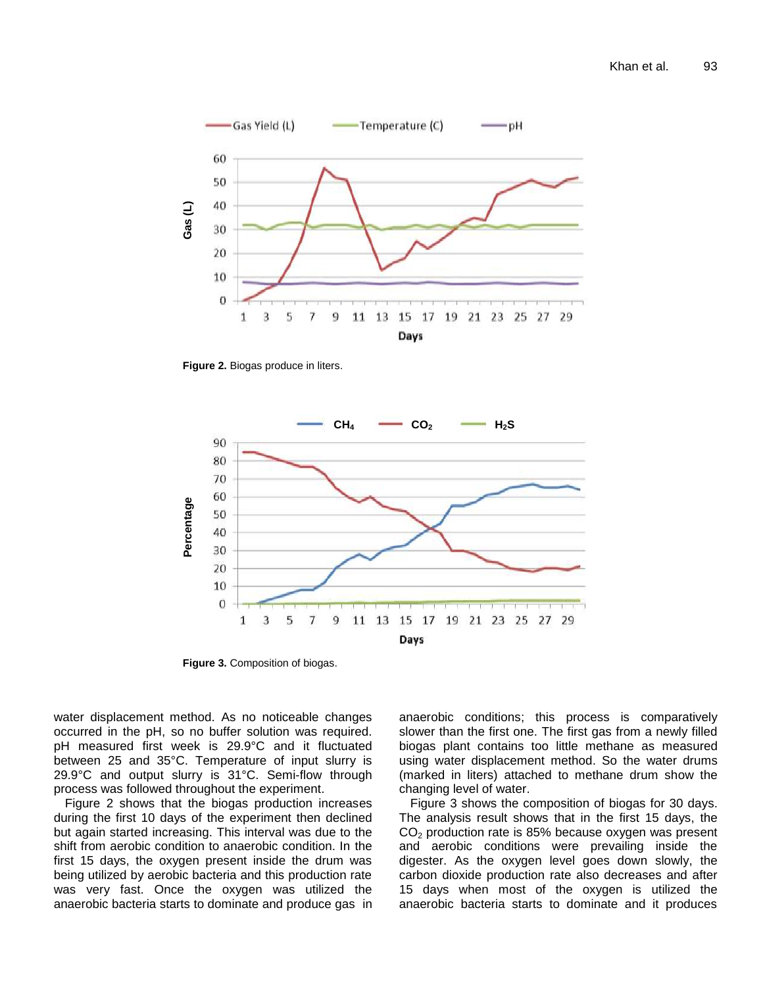

**Figure 2.** Biogas produce in liters.



**Figure 3.** Composition of biogas.

water displacement method. As no noticeable changes occurred in the pH, so no buffer solution was required. pH measured first week is 29.9°C and it fluctuated between 25 and 35°C. Temperature of input slurry is 29.9°C and output slurry is 31°C. Semi-flow through process was followed throughout the experiment.

Figure 2 shows that the biogas production increases during the first 10 days of the experiment then declined but again started increasing. This interval was due to the shift from aerobic condition to anaerobic condition. In the first 15 days, the oxygen present inside the drum was being utilized by aerobic bacteria and this production rate was very fast. Once the oxygen was utilized the anaerobic bacteria starts to dominate and produce gas in anaerobic conditions; this process is comparatively slower than the first one. The first gas from a newly filled biogas plant contains too little methane as measured using water displacement method. So the water drums (marked in liters) attached to methane drum show the changing level of water.

Figure 3 shows the composition of biogas for 30 days. The analysis result shows that in the first 15 days, the  $CO<sub>2</sub>$  production rate is 85% because oxygen was present and aerobic conditions were prevailing inside the digester. As the oxygen level goes down slowly, the carbon dioxide production rate also decreases and after 15 days when most of the oxygen is utilized the anaerobic bacteria starts to dominate and it produces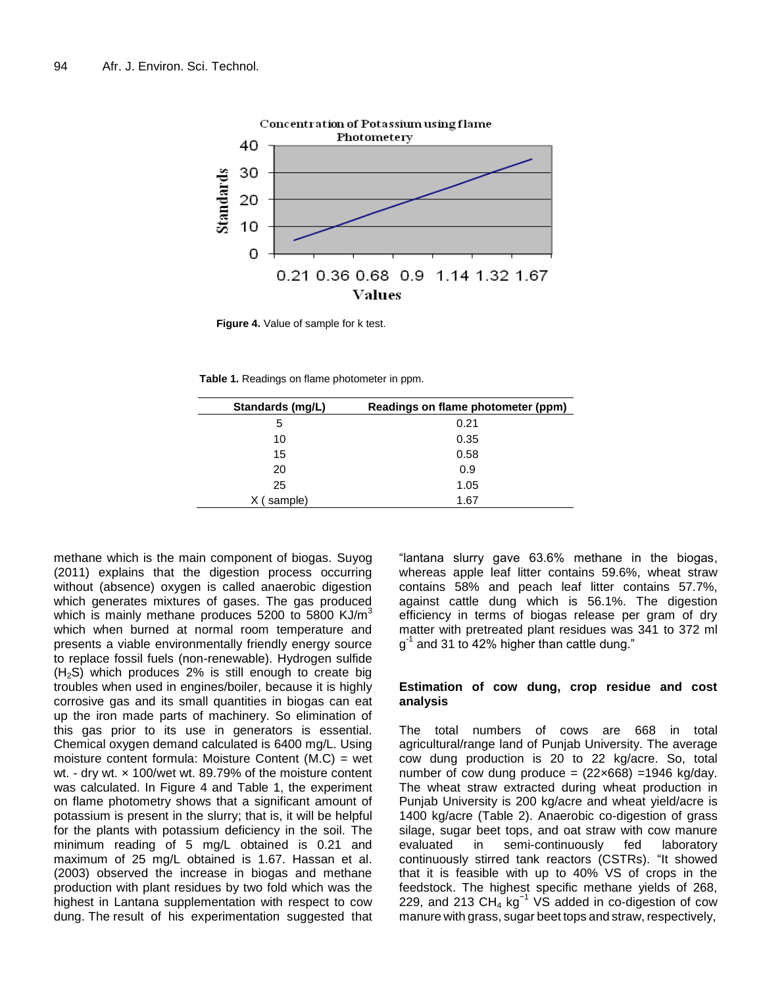

**Figure 4.** Value of sample for k test.

**Table 1.** Readings on flame photometer in ppm.

| Standards (mg/L) | Readings on flame photometer (ppm) |  |  |
|------------------|------------------------------------|--|--|
| 5                | 0.21                               |  |  |
| 10               | 0.35                               |  |  |
| 15               | 0.58                               |  |  |
| 20               | 0.9                                |  |  |
| 25               | 1.05                               |  |  |
| sample)          | 1.67                               |  |  |

methane which is the main component of biogas. Suyog (2011) explains that the digestion process occurring without (absence) oxygen is called anaerobic digestion which generates mixtures of gases. The gas produced which is mainly methane produces 5200 to 5800 KJ/ $m<sup>3</sup>$ which when burned at normal room temperature and presents a viable environmentally friendly energy source to replace fossil fuels (non-renewable). Hydrogen sulfide  $(H<sub>2</sub>S)$  which produces 2% is still enough to create big troubles when used in engines/boiler, because it is highly corrosive gas and its small quantities in biogas can eat up the iron made parts of machinery. So elimination of this gas prior to its use in generators is essential. Chemical oxygen demand calculated is 6400 mg/L. Using moisture content formula: Moisture Content (M.C) = wet wt. - dry wt. × 100/wet wt. 89.79% of the moisture content was calculated. In Figure 4 and Table 1, the experiment on flame photometry shows that a significant amount of potassium is present in the slurry; that is, it will be helpful for the plants with potassium deficiency in the soil. The minimum reading of 5 mg/L obtained is 0.21 and maximum of 25 mg/L obtained is 1.67. Hassan et al. (2003) observed the increase in biogas and methane production with plant residues by two fold which was the highest in Lantana supplementation with respect to cow dung. The result of his experimentation suggested that

"lantana slurry gave 63.6% methane in the biogas, whereas apple leaf litter contains 59.6%, wheat straw contains 58% and peach leaf litter contains 57.7%, against cattle dung which is 56.1%. The digestion efficiency in terms of biogas release per gram of dry matter with pretreated plant residues was 341 to 372 ml g<sup>-1</sup> and 31 to 42% higher than cattle dung."

#### **Estimation of cow dung, crop residue and cost analysis**

The total numbers of cows are 668 in total agricultural/range land of Punjab University. The average cow dung production is 20 to 22 kg/acre. So, total number of cow dung produce =  $(22 \times 668)$  = 1946 kg/day. The wheat straw extracted during wheat production in Punjab University is 200 kg/acre and wheat yield/acre is 1400 kg/acre (Table 2). Anaerobic co-digestion of grass silage, sugar beet tops, and oat straw with cow manure evaluated in semi-continuously fed laboratory continuously stirred tank reactors (CSTRs). "It showed that it is feasible with up to 40% VS of crops in the feedstock. The highest specific methane yields of 268, 229, and 213  $CH<sub>4</sub>$  kg<sup>-1</sup> VS added in co-digestion of cow manure with grass, sugar beet tops and straw, respectively,